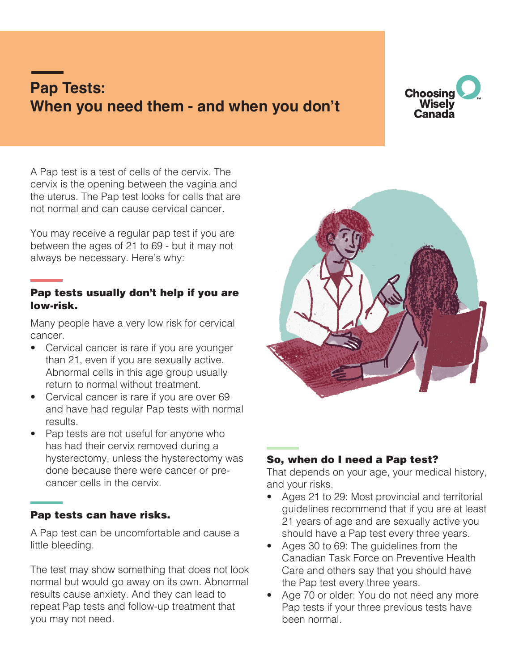# **Pap Tests: When you need them - and when you don't**



A Pap test is a test of cells of the cervix. The cervix is the opening between the vagina and the uterus. The Pap test looks for cells that are not normal and can cause cervical cancer.

You may receive a regular pap test if you are between the ages of 21 to 69 - but it may not always be necessary. Here's why:

# Pap tests usually don't help if you are low-risk.

Many people have a very low risk for cervical cancer.

- Cervical cancer is rare if you are younger than 21, even if you are sexually active. Abnormal cells in this age group usually return to normal without treatment.
- Cervical cancer is rare if you are over 69 and have had regular Pap tests with normal results.
- Pap tests are not useful for anyone who has had their cervix removed during a hysterectomy, unless the hysterectomy was done because there were cancer or precancer cells in the cervix.

## Pap tests can have risks.

A Pap test can be uncomfortable and cause a little bleeding.

The test may show something that does not look normal but would go away on its own. Abnormal results cause anxiety. And they can lead to repeat Pap tests and follow-up treatment that you may not need.



# So, when do I need a Pap test?

That depends on your age, your medical history, and your risks.

- Ages 21 to 29: Most provincial and territorial guidelines recommend that if you are at least 21 years of age and are sexually active you should have a Pap test every three years.
- Ages 30 to 69: The guidelines from the Canadian Task Force on Preventive Health Care and others say that you should have the Pap test every three years.
- Age 70 or older: You do not need any more Pap tests if your three previous tests have been normal.